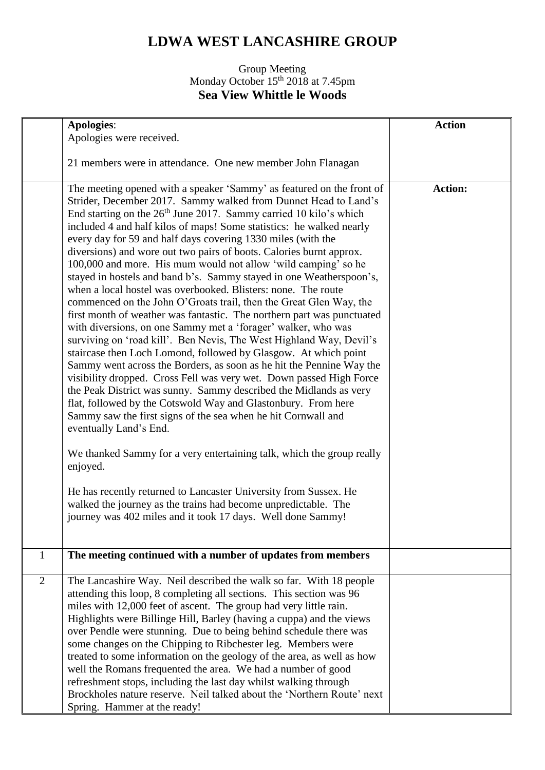## **LDWA WEST LANCASHIRE GROUP**

## Group Meeting Monday October 15<sup>th</sup> 2018 at 7.45pm **Sea View Whittle le Woods**

|                | <b>Apologies:</b>                                                                                                                                                                                                                                                                                                                                                                                                                                                                                                                                                                                                                                                                                                                                                                                                                                                                                                                                                                                                                                                                                                                                                                                                                                                                                                                                                                             | <b>Action</b>  |
|----------------|-----------------------------------------------------------------------------------------------------------------------------------------------------------------------------------------------------------------------------------------------------------------------------------------------------------------------------------------------------------------------------------------------------------------------------------------------------------------------------------------------------------------------------------------------------------------------------------------------------------------------------------------------------------------------------------------------------------------------------------------------------------------------------------------------------------------------------------------------------------------------------------------------------------------------------------------------------------------------------------------------------------------------------------------------------------------------------------------------------------------------------------------------------------------------------------------------------------------------------------------------------------------------------------------------------------------------------------------------------------------------------------------------|----------------|
|                | Apologies were received.                                                                                                                                                                                                                                                                                                                                                                                                                                                                                                                                                                                                                                                                                                                                                                                                                                                                                                                                                                                                                                                                                                                                                                                                                                                                                                                                                                      |                |
|                |                                                                                                                                                                                                                                                                                                                                                                                                                                                                                                                                                                                                                                                                                                                                                                                                                                                                                                                                                                                                                                                                                                                                                                                                                                                                                                                                                                                               |                |
|                | 21 members were in attendance. One new member John Flanagan                                                                                                                                                                                                                                                                                                                                                                                                                                                                                                                                                                                                                                                                                                                                                                                                                                                                                                                                                                                                                                                                                                                                                                                                                                                                                                                                   |                |
|                | The meeting opened with a speaker 'Sammy' as featured on the front of<br>Strider, December 2017. Sammy walked from Dunnet Head to Land's<br>End starting on the 26 <sup>th</sup> June 2017. Sammy carried 10 kilo's which<br>included 4 and half kilos of maps! Some statistics: he walked nearly<br>every day for 59 and half days covering 1330 miles (with the<br>diversions) and wore out two pairs of boots. Calories burnt approx.<br>100,000 and more. His mum would not allow 'wild camping' so he<br>stayed in hostels and band b's. Sammy stayed in one Weatherspoon's,<br>when a local hostel was overbooked. Blisters: none. The route<br>commenced on the John O'Groats trail, then the Great Glen Way, the<br>first month of weather was fantastic. The northern part was punctuated<br>with diversions, on one Sammy met a 'forager' walker, who was<br>surviving on 'road kill'. Ben Nevis, The West Highland Way, Devil's<br>staircase then Loch Lomond, followed by Glasgow. At which point<br>Sammy went across the Borders, as soon as he hit the Pennine Way the<br>visibility dropped. Cross Fell was very wet. Down passed High Force<br>the Peak District was sunny. Sammy described the Midlands as very<br>flat, followed by the Cotswold Way and Glastonbury. From here<br>Sammy saw the first signs of the sea when he hit Cornwall and<br>eventually Land's End. | <b>Action:</b> |
|                | We thanked Sammy for a very entertaining talk, which the group really<br>enjoyed.                                                                                                                                                                                                                                                                                                                                                                                                                                                                                                                                                                                                                                                                                                                                                                                                                                                                                                                                                                                                                                                                                                                                                                                                                                                                                                             |                |
|                | He has recently returned to Lancaster University from Sussex. He<br>walked the journey as the trains had become unpredictable. The<br>journey was 402 miles and it took 17 days. Well done Sammy!                                                                                                                                                                                                                                                                                                                                                                                                                                                                                                                                                                                                                                                                                                                                                                                                                                                                                                                                                                                                                                                                                                                                                                                             |                |
| $\mathbf{1}$   | The meeting continued with a number of updates from members                                                                                                                                                                                                                                                                                                                                                                                                                                                                                                                                                                                                                                                                                                                                                                                                                                                                                                                                                                                                                                                                                                                                                                                                                                                                                                                                   |                |
| $\overline{2}$ | The Lancashire Way. Neil described the walk so far. With 18 people<br>attending this loop, 8 completing all sections. This section was 96<br>miles with 12,000 feet of ascent. The group had very little rain.<br>Highlights were Billinge Hill, Barley (having a cuppa) and the views<br>over Pendle were stunning. Due to being behind schedule there was<br>some changes on the Chipping to Ribchester leg. Members were<br>treated to some information on the geology of the area, as well as how<br>well the Romans frequented the area. We had a number of good<br>refreshment stops, including the last day whilst walking through<br>Brockholes nature reserve. Neil talked about the 'Northern Route' next<br>Spring. Hammer at the ready!                                                                                                                                                                                                                                                                                                                                                                                                                                                                                                                                                                                                                                           |                |